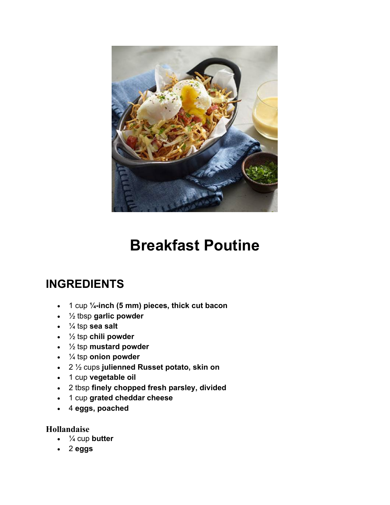

# **Breakfast Poutine**

## **INGREDIENTS**

- 1 cup **¼-inch (5 mm) pieces, thick cut bacon**
- ½ tbsp **garlic powder**
- ¼ tsp **sea salt**
- ½ tsp **chili powder**
- ½ tsp **mustard powder**
- ¼ tsp **onion powder**
- 2 ½ cups **julienned Russet potato, skin on**
- 1 cup **vegetable oil**
- 2 tbsp **finely chopped fresh parsley, divided**
- 1 cup **grated cheddar cheese**
- 4 **eggs, poached**

#### **Hollandaise**

- ¼ cup **butter**
- 2 **eggs**